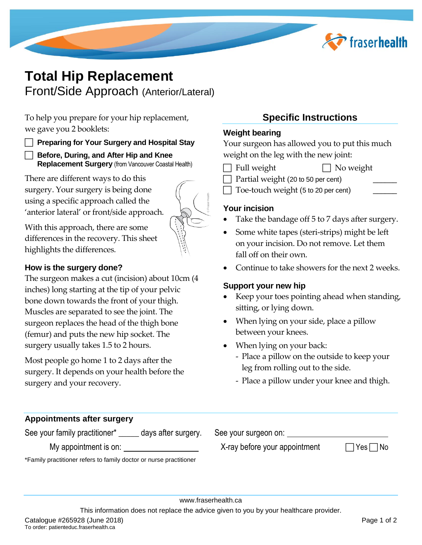

# **Total Hip Replacement**  Front/Side Approach (Anterior/Lateral)

To help you prepare for your hip replacement, we gave you 2 booklets:

#### **Preparing for Your Surgery and Hospital Stay**

 **Before, During, and After Hip and Knee Replacement Surgery** (from Vancouver Coastal Health)

There are different ways to do this surgery. Your surgery is being done using a specific approach called the 'anterior lateral' or front/side approach.



With this approach, there are some differences in the recovery. This sheet highlights the differences.

#### **How is the surgery done?**

The surgeon makes a cut (incision) about 10cm (4 inches) long starting at the tip of your pelvic bone down towards the front of your thigh. Muscles are separated to see the joint. The surgeon replaces the head of the thigh bone (femur) and puts the new hip socket. The surgery usually takes 1.5 to 2 hours.

Most people go home 1 to 2 days after the surgery. It depends on your health before the surgery and your recovery.

### **Specific Instructions**

#### **Weight bearing**

Your surgeon has allowed you to put this much weight on the leg with the new joint:

 $\Box$  Full weight  $\Box$  No weight

Partial weight (20 to 50 per cent) Toe-touch weight (5 to 20 per cent) \_\_\_\_\_\_

#### **Your incision**

- Take the bandage off 5 to 7 days after surgery.
- Some white tapes (steri-strips) might be left on your incision. Do not remove. Let them fall off on their own.
- Continue to take showers for the next 2 weeks.

#### **Support your new hip**

- Keep your toes pointing ahead when standing, sitting, or lying down.
- When lying on your side, place a pillow between your knees.
- When lying on your back:
	- Place a pillow on the outside to keep your leg from rolling out to the side.
	- Place a pillow under your knee and thigh.

| See your surgeon on:                                               |            |  |  |  |
|--------------------------------------------------------------------|------------|--|--|--|
| X-ray before your appointment                                      | $ Yes $ No |  |  |  |
| *Family practitioner refers to family doctor or nurse practitioner |            |  |  |  |
|                                                                    |            |  |  |  |

This information does not replace the advice given to you by your healthcare provider.